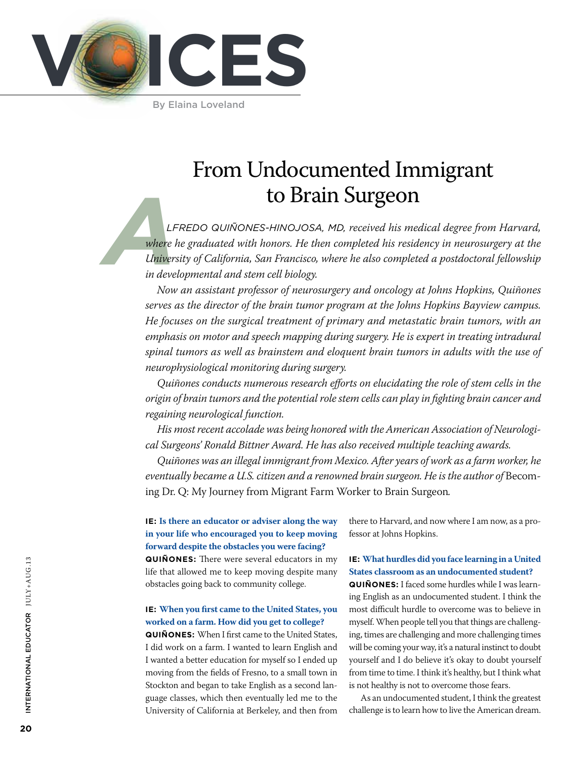

By Elaina Loveland

# From Undocumented Immigrant to Brain Surgeon

*LF*<br> *Where*<br> *Linivers*<br> *in deve Lfredo Quiñones-Hinojosa, MD, received his medical degree from Harvard, where he graduated with honors. He then completed his residency in neurosurgery at the University of California, San Francisco, where he also completed a postdoctoral fellowship in developmental and stem cell biology.* 

*Now an assistant professor of neurosurgery and oncology at Johns Hopkins, Quiñones serves as the director of the brain tumor program at the Johns Hopkins Bayview campus. He focuses on the surgical treatment of primary and metastatic brain tumors, with an emphasis on motor and speech mapping during surgery. He is expert in treating intradural spinal tumors as well as brainstem and eloquent brain tumors in adults with the use of neurophysiological monitoring during surgery.* 

*Quiñones conducts numerous research efforts on elucidating the role of stem cells in the origin of brain tumors and the potential role stem cells can play in fighting brain cancer and regaining neurological function.*

*His most recent accolade was being honored with the American Association of Neurological Surgeons' Ronald Bittner Award. He has also received multiple teaching awards.*

*Quiñones was an illegal immigrant from Mexico. After years of work as a farm worker, he*  eventually became a U.S. citizen and a renowned brain surgeon. He is the author of Becoming Dr. Q: My Journey from Migrant Farm Worker to Brain Surgeon*.*

## **IE: Is there an educator or adviser along the way in your life who encouraged you to keep moving forward despite the obstacles you were facing?**

**QuiÑones:** There were several educators in my life that allowed me to keep moving despite many obstacles going back to community college.

## **IE: When you first came to the United States, you worked on a farm. How did you get to college?**

**QuiÑones:** When I first came to the United States, I did work on a farm. I wanted to learn English and I wanted a better education for myself so I ended up moving from the fields of Fresno, to a small town in Stockton and began to take English as a second language classes, which then eventually led me to the University of California at Berkeley, and then from there to Harvard, and now where I am now, as a professor at Johns Hopkins.

### **IE: What hurdles did you face learning in a United States classroom as an undocumented student?**

**QuiÑones:** I faced some hurdles while I was learning English as an undocumented student. I think the most difficult hurdle to overcome was to believe in myself. When people tell you that things are challenging, times are challenging and more challenging times will be coming your way, it's a natural instinct to doubt yourself and I do believe it's okay to doubt yourself from time to time. I think it's healthy, but I think what is not healthy is not to overcome those fears.

As an undocumented student, I think the greatest challenge is to learn how to live the American dream.